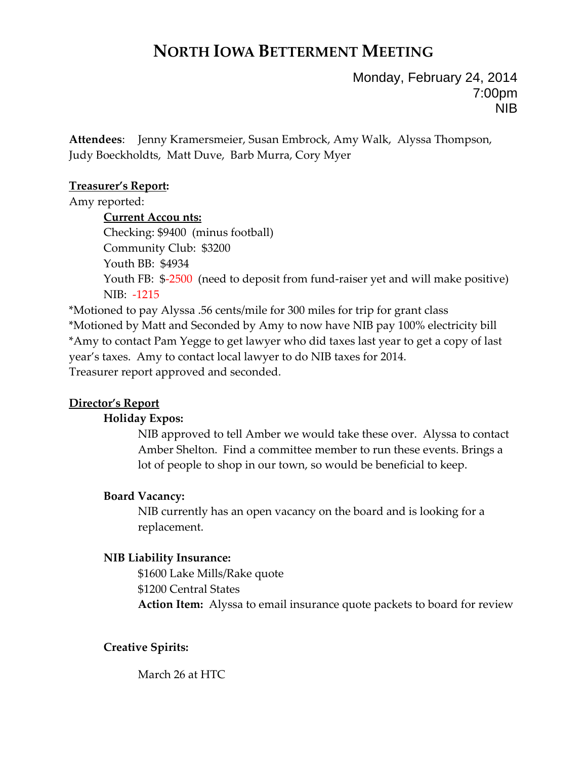# **NORTH IOWA BETTERMENT MEETING**

Monday, February 24, 2014 7:00pm NIB

**Attendees**: Jenny Kramersmeier, Susan Embrock, Amy Walk, Alyssa Thompson, Judy Boeckholdts, Matt Duve, Barb Murra, Cory Myer

# **Treasurer's Report:**

Amy reported:

**Current Accou nts:** Checking: \$9400 (minus football) Community Club: \$3200 Youth BB: \$4934 Youth FB: \$-2500 (need to deposit from fund-raiser yet and will make positive) NIB: ‐1215

\*Motioned to pay Alyssa .56 cents/mile for 300 miles for trip for grant class \*Motioned by Matt and Seconded by Amy to now have NIB pay 100% electricity bill \*Amy to contact Pam Yegge to get lawyer who did taxes last year to get a copy of last year's taxes. Amy to contact local lawyer to do NIB taxes for 2014. Treasurer report approved and seconded.

# **Director's Report**

# **Holiday Expos:**

NIB approved to tell Amber we would take these over. Alyssa to contact Amber Shelton. Find a committee member to run these events. Brings a lot of people to shop in our town, so would be beneficial to keep.

# **Board Vacancy:**

NIB currently has an open vacancy on the board and is looking for a replacement.

# **NIB Liability Insurance:**

\$1600 Lake Mills/Rake quote \$1200 Central States **Action Item:** Alyssa to email insurance quote packets to board for review

# **Creative Spirits:**

March 26 at HTC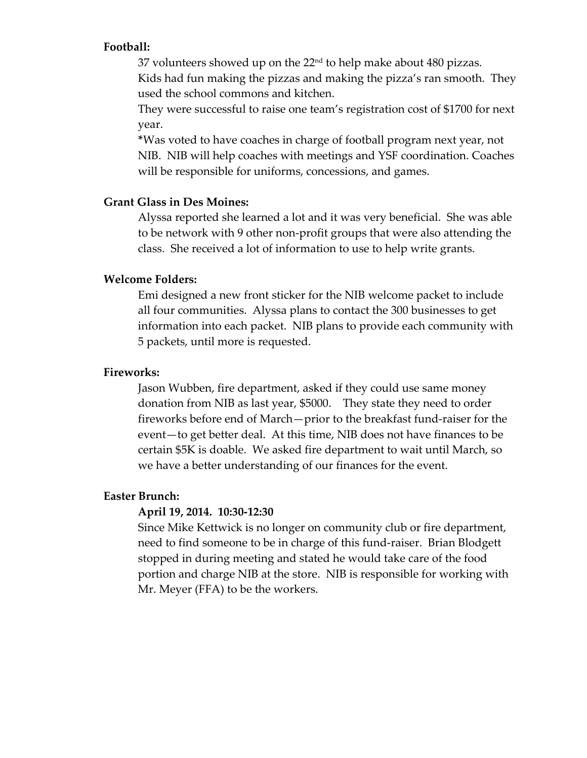#### **Football:**

37 volunteers showed up on the 22nd to help make about 480 pizzas. Kids had fun making the pizzas and making the pizza's ran smooth. They

used the school commons and kitchen.

They were successful to raise one team's registration cost of \$1700 for next year.

**\***Was voted to have coaches in charge of football program next year, not NIB. NIB will help coaches with meetings and YSF coordination. Coaches will be responsible for uniforms, concessions, and games.

#### **Grant Glass in Des Moines:**

Alyssa reported she learned a lot and it was very beneficial. She was able to be network with 9 other non‐profit groups that were also attending the class. She received a lot of information to use to help write grants.

## **Welcome Folders:**

Emi designed a new front sticker for the NIB welcome packet to include all four communities. Alyssa plans to contact the 300 businesses to get information into each packet. NIB plans to provide each community with 5 packets, until more is requested.

#### **Fireworks:**

Jason Wubben, fire department, asked if they could use same money donation from NIB as last year, \$5000. They state they need to order fireworks before end of March—prior to the breakfast fund‐raiser for the event—to get better deal. At this time, NIB does not have finances to be certain \$5K is doable. We asked fire department to wait until March, so we have a better understanding of our finances for the event.

#### **Easter Brunch:**

#### **April 19, 2014. 10:30‐12:30**

Since Mike Kettwick is no longer on community club or fire department, need to find someone to be in charge of this fund‐raiser. Brian Blodgett stopped in during meeting and stated he would take care of the food portion and charge NIB at the store. NIB is responsible for working with Mr. Meyer (FFA) to be the workers.